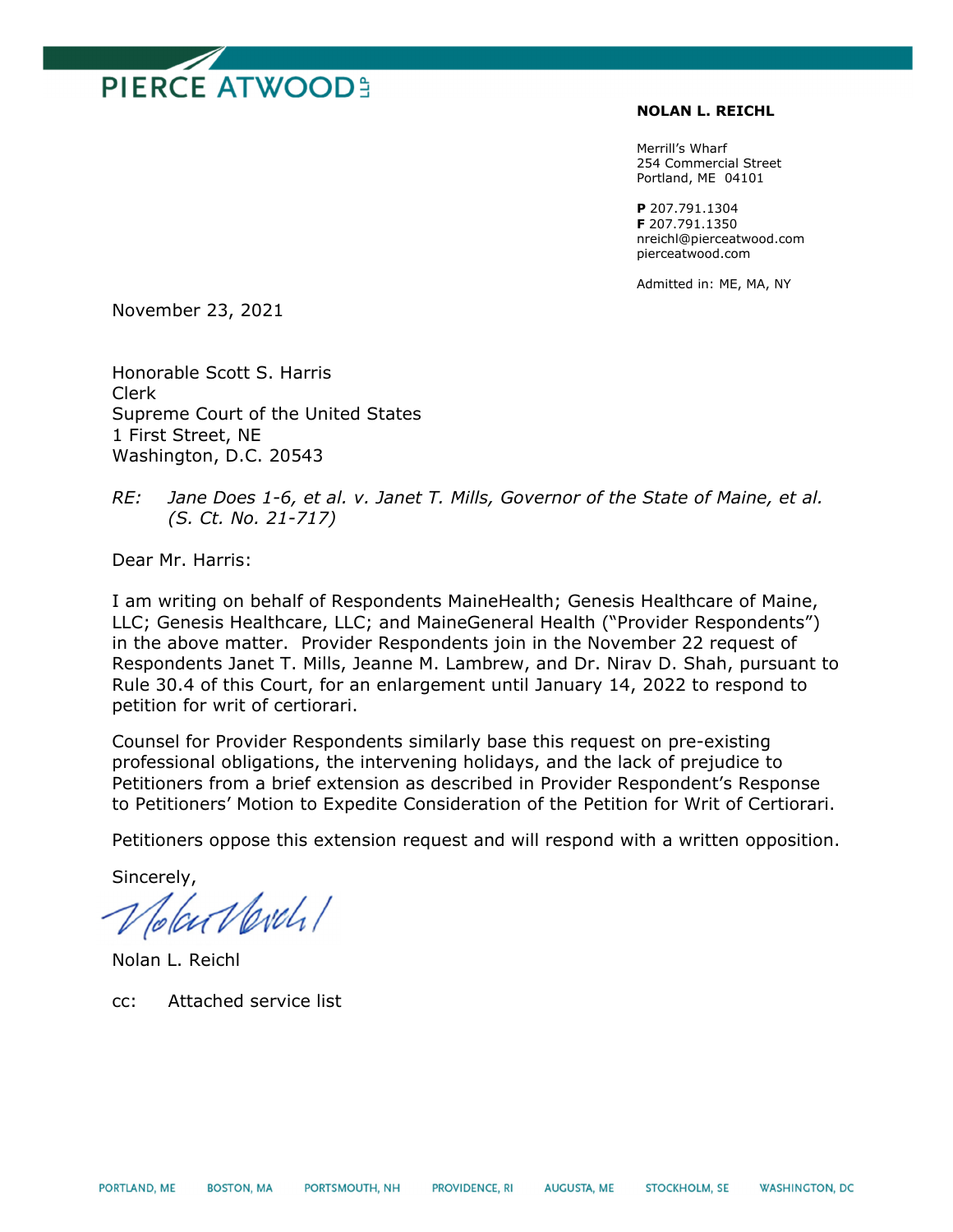

## **NOLAN L. REICHL**

Merrill's Wharf 254 Commercial Street Portland, ME 04101

**P** 207.791.1304 **F** 207.791.1350 nreichl@pierceatwood.com pierceatwood.com

Admitted in: ME, MA, NY

November 23, 2021

Honorable Scott S. Harris Clerk Supreme Court of the United States 1 First Street, NE Washington, D.C. 20543

## *RE: Jane Does 1-6, et al. v. Janet T. Mills, Governor of the State of Maine, et al. (S. Ct. No. 21-717)*

Dear Mr. Harris:

I am writing on behalf of Respondents MaineHealth; Genesis Healthcare of Maine, LLC; Genesis Healthcare, LLC; and MaineGeneral Health ("Provider Respondents") in the above matter. Provider Respondents join in the November 22 request of Respondents Janet T. Mills, Jeanne M. Lambrew, and Dr. Nirav D. Shah, pursuant to Rule 30.4 of this Court, for an enlargement until January 14, 2022 to respond to petition for writ of certiorari.

Counsel for Provider Respondents similarly base this request on pre-existing professional obligations, the intervening holidays, and the lack of prejudice to Petitioners from a brief extension as described in Provider Respondent's Response to Petitioners' Motion to Expedite Consideration of the Petition for Writ of Certiorari.

Petitioners oppose this extension request and will respond with a written opposition.

Sincerely,

Verdi/

Nolan L. Reichl

cc: Attached service list